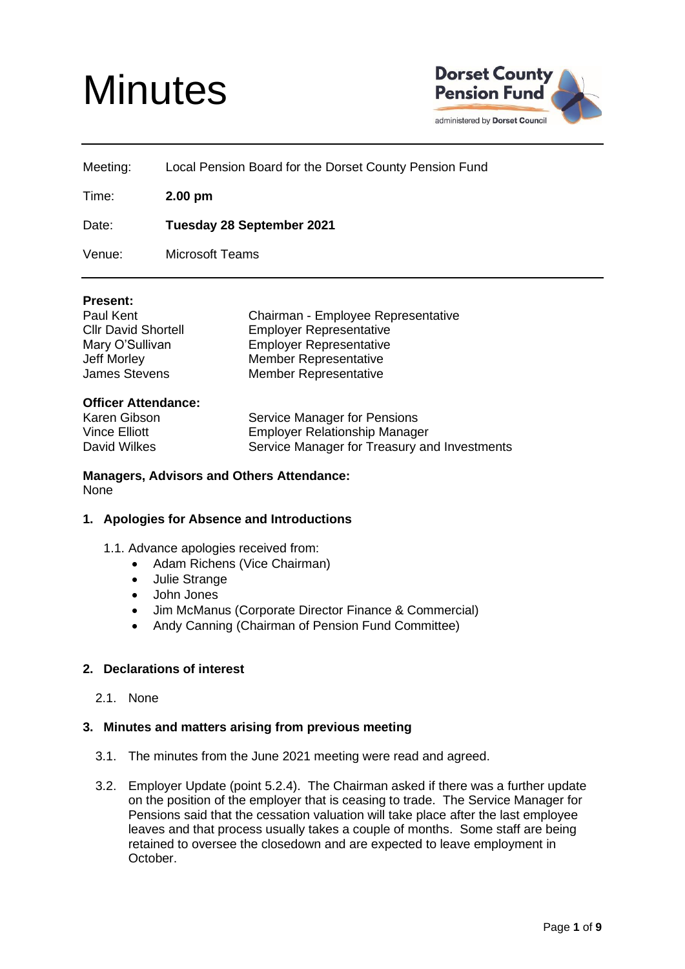# **Minutes**



| Meeting: | Local Pension Board for the Dorset County Pension Fund |
|----------|--------------------------------------------------------|
| Time:    | $2.00 \text{ pm}$                                      |
| Date:    | <b>Tuesday 28 September 2021</b>                       |

Venue: Microsoft Teams

## **Present:**

Chairman - Employee Representative Employer Representative **Employer Representative** Member Representative Member Representative

#### **Officer Attendance:**

Karen Gibson Service Manager for Pensions Vince Elliott Employer Relationship Manager David Wilkes Service Manager for Treasury and Investments

## **Managers, Advisors and Others Attendance:** None

# **1. Apologies for Absence and Introductions**

- 1.1. Advance apologies received from:
	- Adam Richens (Vice Chairman)
	- Julie Strange
	- John Jones
	- Jim McManus (Corporate Director Finance & Commercial)
	- Andy Canning (Chairman of Pension Fund Committee)

# **2. Declarations of interest**

2.1. None

#### **3. Minutes and matters arising from previous meeting**

- 3.1. The minutes from the June 2021 meeting were read and agreed.
- 3.2. Employer Update (point 5.2.4). The Chairman asked if there was a further update on the position of the employer that is ceasing to trade. The Service Manager for Pensions said that the cessation valuation will take place after the last employee leaves and that process usually takes a couple of months. Some staff are being retained to oversee the closedown and are expected to leave employment in October.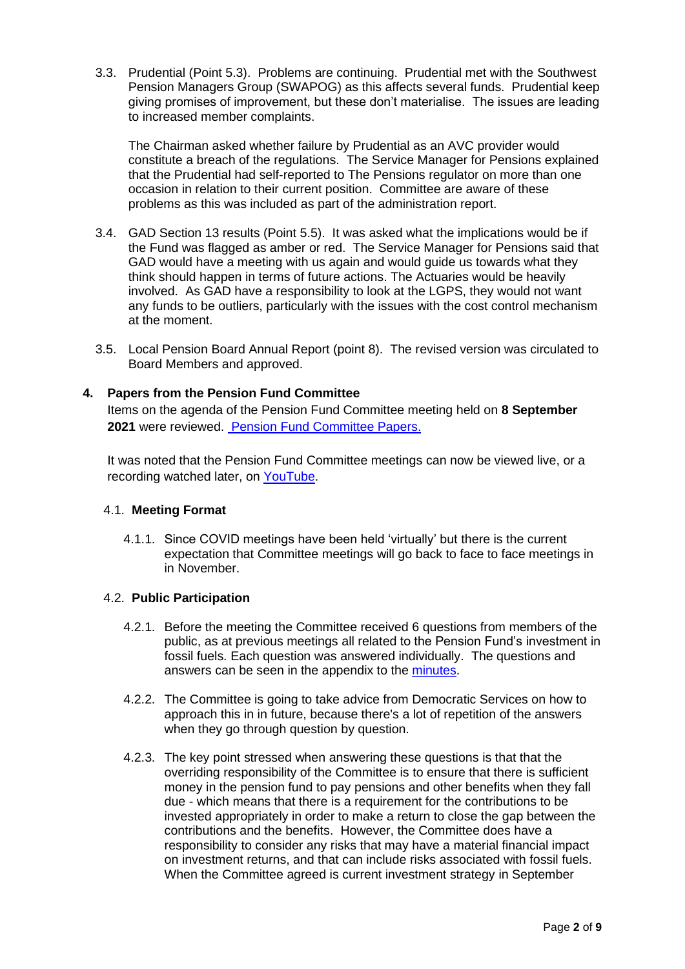3.3. Prudential (Point 5.3). Problems are continuing. Prudential met with the Southwest Pension Managers Group (SWAPOG) as this affects several funds. Prudential keep giving promises of improvement, but these don't materialise. The issues are leading to increased member complaints.

The Chairman asked whether failure by Prudential as an AVC provider would constitute a breach of the regulations. The Service Manager for Pensions explained that the Prudential had self-reported to The Pensions regulator on more than one occasion in relation to their current position. Committee are aware of these problems as this was included as part of the administration report.

- 3.4. GAD Section 13 results (Point 5.5). It was asked what the implications would be if the Fund was flagged as amber or red. The Service Manager for Pensions said that GAD would have a meeting with us again and would guide us towards what they think should happen in terms of future actions. The Actuaries would be heavily involved. As GAD have a responsibility to look at the LGPS, they would not want any funds to be outliers, particularly with the issues with the cost control mechanism at the moment.
- 3.5. Local Pension Board Annual Report (point 8). The revised version was circulated to Board Members and approved.

# **4. Papers from the Pension Fund Committee**

Items on the agenda of the Pension Fund Committee meeting held on **8 September 2021** were reviewed. [Pension Fund Committee Papers.](https://moderngov.dorsetcouncil.gov.uk/ieListDocuments.aspx?CId=434&MId=5173&Ver=4)

It was noted that the Pension Fund Committee meetings can now be viewed live, or a recording watched later, on [YouTube.](https://www.youtube.com/embed/DqOdMCa2O3s)

#### 4.1. **Meeting Format**

4.1.1. Since COVID meetings have been held 'virtually' but there is the current expectation that Committee meetings will go back to face to face meetings in in November.

#### 4.2. **Public Participation**

- 4.2.1. Before the meeting the Committee received 6 questions from members of the public, as at previous meetings all related to the Pension Fund's investment in fossil fuels. Each question was answered individually. The questions and answers can be seen in the appendix to the [minutes.](https://moderngov.dorsetcouncil.gov.uk/documents/g5173/Printed%20minutes%2008th-Sep-2021%2010.00%20Pension%20Fund%20Committee.pdf?T=1)
- 4.2.2. The Committee is going to take advice from Democratic Services on how to approach this in in future, because there's a lot of repetition of the answers when they go through question by question.
- 4.2.3. The key point stressed when answering these questions is that that the overriding responsibility of the Committee is to ensure that there is sufficient money in the pension fund to pay pensions and other benefits when they fall due - which means that there is a requirement for the contributions to be invested appropriately in order to make a return to close the gap between the contributions and the benefits. However, the Committee does have a responsibility to consider any risks that may have a material financial impact on investment returns, and that can include risks associated with fossil fuels. When the Committee agreed is current investment strategy in September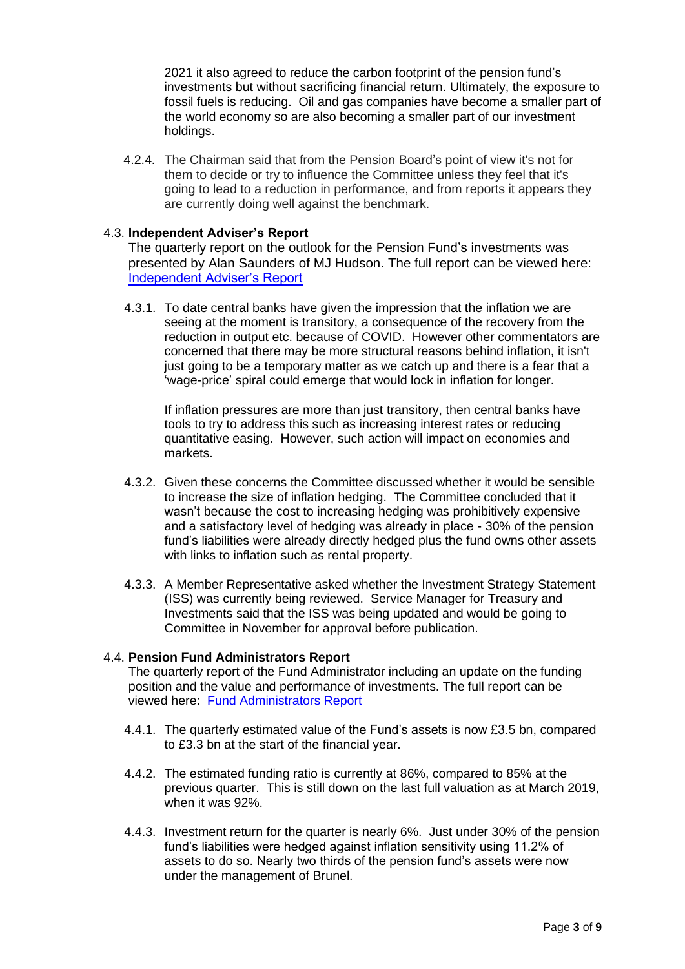2021 it also agreed to reduce the carbon footprint of the pension fund's investments but without sacrificing financial return. Ultimately, the exposure to fossil fuels is reducing. Oil and gas companies have become a smaller part of the world economy so are also becoming a smaller part of our investment holdings.

4.2.4. The Chairman said that from the Pension Board's point of view it's not for them to decide or try to influence the Committee unless they feel that it's going to lead to a reduction in performance, and from reports it appears they are currently doing well against the benchmark.

## 4.3. **Independent Adviser's Report**

The quarterly report on the outlook for the Pension Fund's investments was presented by Alan Saunders of MJ Hudson. The full report can be viewed here: [Independent Adviser's Report](https://moderngov.dorsetcouncil.gov.uk/documents/s25740/Sep%2021%208.pdf)

4.3.1. To date central banks have given the impression that the inflation we are seeing at the moment is transitory, a consequence of the recovery from the reduction in output etc. because of COVID. However other commentators are concerned that there may be more structural reasons behind inflation, it isn't just going to be a temporary matter as we catch up and there is a fear that a 'wage-price' spiral could emerge that would lock in inflation for longer.

If inflation pressures are more than just transitory, then central banks have tools to try to address this such as increasing interest rates or reducing quantitative easing. However, such action will impact on economies and markets.

- 4.3.2. Given these concerns the Committee discussed whether it would be sensible to increase the size of inflation hedging. The Committee concluded that it wasn't because the cost to increasing hedging was prohibitively expensive and a satisfactory level of hedging was already in place - 30% of the pension fund's liabilities were already directly hedged plus the fund owns other assets with links to inflation such as rental property.
- 4.3.3. A Member Representative asked whether the Investment Strategy Statement (ISS) was currently being reviewed. Service Manager for Treasury and Investments said that the ISS was being updated and would be going to Committee in November for approval before publication.

# 4.4. **Pension Fund Administrators Report**

The quarterly report of the Fund Administrator including an update on the funding position and the value and performance of investments. The full report can be viewed here: [Fund Administrators Report](https://moderngov.dorsetcouncil.gov.uk/documents/s25741/Sep%2021%209.pdf)

- 4.4.1. The quarterly estimated value of the Fund's assets is now £3.5 bn, compared to £3.3 bn at the start of the financial year.
- 4.4.2. The estimated funding ratio is currently at 86%, compared to 85% at the previous quarter. This is still down on the last full valuation as at March 2019, when it was 92%.
- 4.4.3. Investment return for the quarter is nearly 6%. Just under 30% of the pension fund's liabilities were hedged against inflation sensitivity using 11.2% of assets to do so. Nearly two thirds of the pension fund's assets were now under the management of Brunel.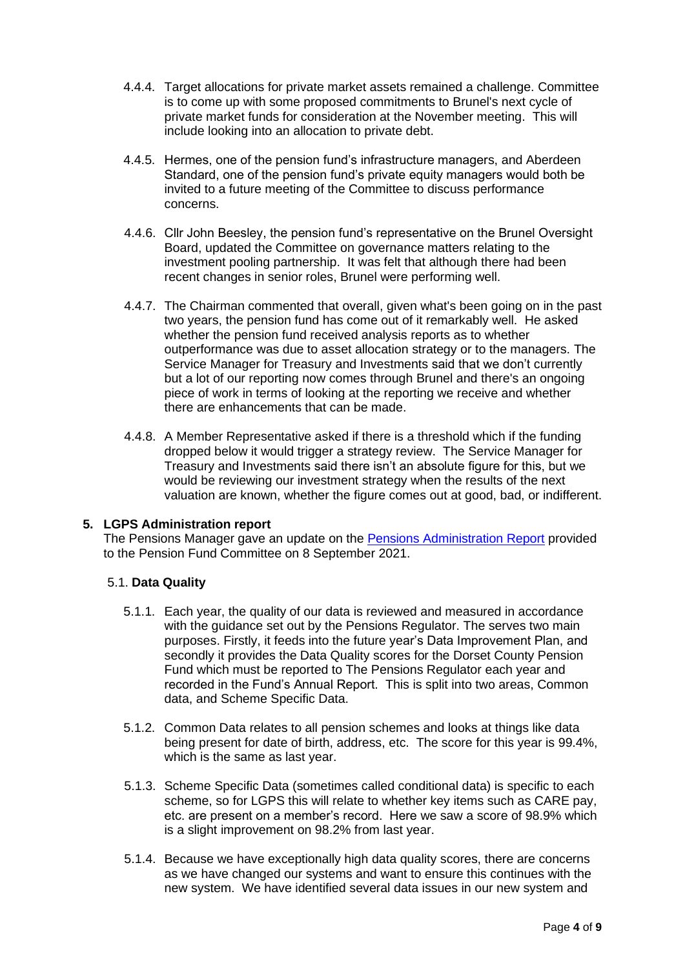- 4.4.4. Target allocations for private market assets remained a challenge. Committee is to come up with some proposed commitments to Brunel's next cycle of private market funds for consideration at the November meeting. This will include looking into an allocation to private debt.
- 4.4.5. Hermes, one of the pension fund's infrastructure managers, and Aberdeen Standard, one of the pension fund's private equity managers would both be invited to a future meeting of the Committee to discuss performance concerns.
- 4.4.6. Cllr John Beesley, the pension fund's representative on the Brunel Oversight Board, updated the Committee on governance matters relating to the investment pooling partnership. It was felt that although there had been recent changes in senior roles, Brunel were performing well.
- 4.4.7. The Chairman commented that overall, given what's been going on in the past two years, the pension fund has come out of it remarkably well. He asked whether the pension fund received analysis reports as to whether outperformance was due to asset allocation strategy or to the managers. The Service Manager for Treasury and Investments said that we don't currently but a lot of our reporting now comes through Brunel and there's an ongoing piece of work in terms of looking at the reporting we receive and whether there are enhancements that can be made.
- 4.4.8. A Member Representative asked if there is a threshold which if the funding dropped below it would trigger a strategy review. The Service Manager for Treasury and Investments said there isn't an absolute figure for this, but we would be reviewing our investment strategy when the results of the next valuation are known, whether the figure comes out at good, bad, or indifferent.

# **5. LGPS Administration report**

The Pensions Manager gave an update on the [Pensions Administration Report](https://moderngov.dorsetcouncil.gov.uk/documents/s25737/Sep%2021%207.pdf) provided to the Pension Fund Committee on 8 September 2021.

# 5.1. **Data Quality**

- 5.1.1. Each year, the quality of our data is reviewed and measured in accordance with the guidance set out by the Pensions Regulator. The serves two main purposes. Firstly, it feeds into the future year's Data Improvement Plan, and secondly it provides the Data Quality scores for the Dorset County Pension Fund which must be reported to The Pensions Regulator each year and recorded in the Fund's Annual Report. This is split into two areas, Common data, and Scheme Specific Data.
- 5.1.2. Common Data relates to all pension schemes and looks at things like data being present for date of birth, address, etc. The score for this year is 99.4%, which is the same as last year.
- 5.1.3. Scheme Specific Data (sometimes called conditional data) is specific to each scheme, so for LGPS this will relate to whether key items such as CARE pay, etc. are present on a member's record. Here we saw a score of 98.9% which is a slight improvement on 98.2% from last year.
- 5.1.4. Because we have exceptionally high data quality scores, there are concerns as we have changed our systems and want to ensure this continues with the new system. We have identified several data issues in our new system and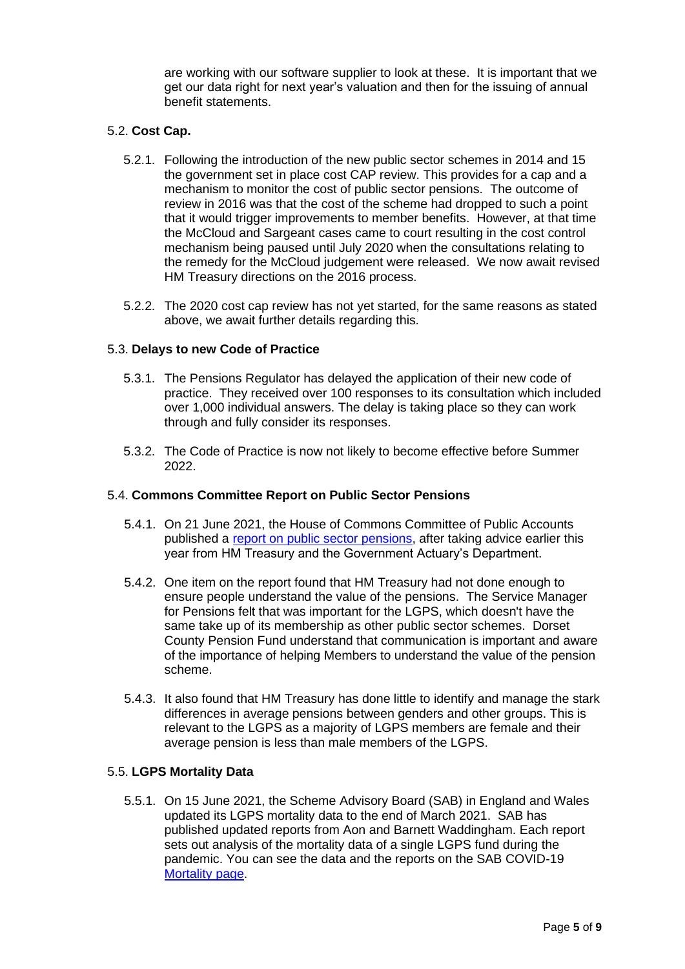are working with our software supplier to look at these. It is important that we get our data right for next year's valuation and then for the issuing of annual benefit statements.

# 5.2. **Cost Cap.**

- 5.2.1. Following the introduction of the new public sector schemes in 2014 and 15 the government set in place cost CAP review. This provides for a cap and a mechanism to monitor the cost of public sector pensions. The outcome of review in 2016 was that the cost of the scheme had dropped to such a point that it would trigger improvements to member benefits. However, at that time the McCloud and Sargeant cases came to court resulting in the cost control mechanism being paused until July 2020 when the consultations relating to the remedy for the McCloud judgement were released. We now await revised HM Treasury directions on the 2016 process.
- 5.2.2. The 2020 cost cap review has not yet started, for the same reasons as stated above, we await further details regarding this.

# 5.3. **Delays to new Code of Practice**

- 5.3.1. The Pensions Regulator has delayed the application of their new code of practice. They received over 100 responses to its consultation which included over 1,000 individual answers. The delay is taking place so they can work through and fully consider its responses.
- 5.3.2. The Code of Practice is now not likely to become effective before Summer 2022.

#### 5.4. **Commons Committee Report on Public Sector Pensions**

- 5.4.1. On 21 June 2021, the House of Commons Committee of Public Accounts published a [report on public sector pensions,](https://committees.parliament.uk/publications/6214/documents/69139/default/) after taking advice earlier this year from HM Treasury and the Government Actuary's Department.
- 5.4.2. One item on the report found that HM Treasury had not done enough to ensure people understand the value of the pensions. The Service Manager for Pensions felt that was important for the LGPS, which doesn't have the same take up of its membership as other public sector schemes. Dorset County Pension Fund understand that communication is important and aware of the importance of helping Members to understand the value of the pension scheme.
- 5.4.3. It also found that HM Treasury has done little to identify and manage the stark differences in average pensions between genders and other groups. This is relevant to the LGPS as a majority of LGPS members are female and their average pension is less than male members of the LGPS.

# 5.5. **LGPS Mortality Data**

5.5.1. On 15 June 2021, the Scheme Advisory Board (SAB) in England and Wales updated its LGPS mortality data to the end of March 2021. SAB has published updated reports from Aon and Barnett Waddingham. Each report sets out analysis of the mortality data of a single LGPS fund during the pandemic. You can see the data and the reports on the SAB COVID-19 [Mortality page.](https://www.lgpsboard.org/index.php/covid-19-mortality-1)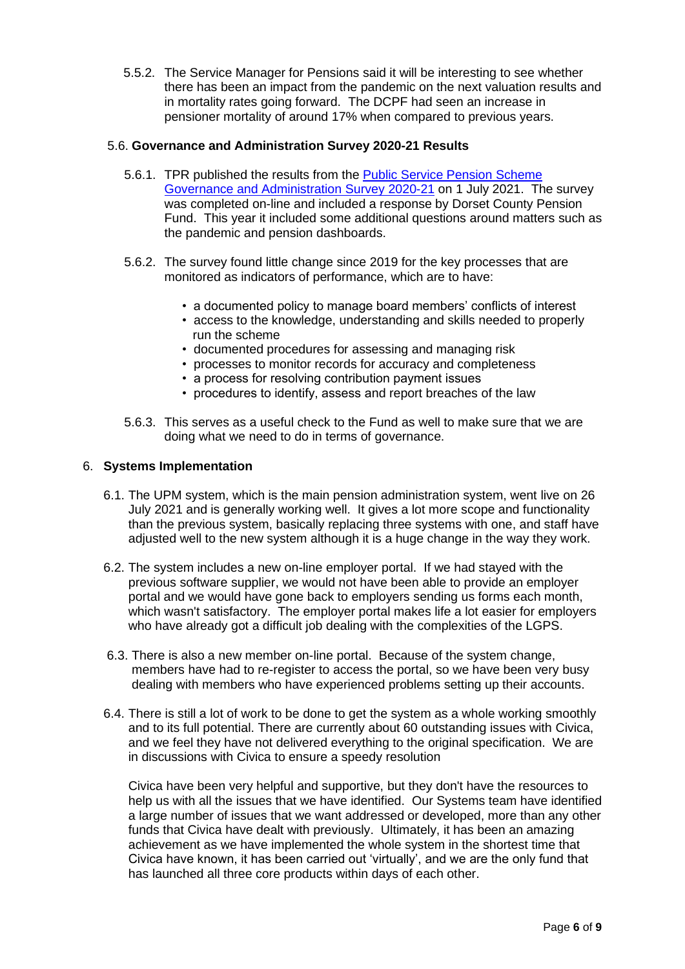5.5.2. The Service Manager for Pensions said it will be interesting to see whether there has been an impact from the pandemic on the next valuation results and in mortality rates going forward. The DCPF had seen an increase in pensioner mortality of around 17% when compared to previous years.

## 5.6. **Governance and Administration Survey 2020-21 Results**

- 5.6.1. TPR published the results from the [Public Service Pension Scheme](https://www.thepensionsregulator.gov.uk/-/media/thepensionsregulator/files/import/pdf/public-service-research-2021.ashx)  [Governance and Administration Survey 2020-21](https://www.thepensionsregulator.gov.uk/-/media/thepensionsregulator/files/import/pdf/public-service-research-2021.ashx) on 1 July 2021. The survey was completed on-line and included a response by Dorset County Pension Fund. This year it included some additional questions around matters such as the pandemic and pension dashboards.
- 5.6.2. The survey found little change since 2019 for the key processes that are monitored as indicators of performance, which are to have:
	- a documented policy to manage board members' conflicts of interest
	- access to the knowledge, understanding and skills needed to properly run the scheme
	- documented procedures for assessing and managing risk
	- processes to monitor records for accuracy and completeness
	- a process for resolving contribution payment issues
	- procedures to identify, assess and report breaches of the law
- 5.6.3. This serves as a useful check to the Fund as well to make sure that we are doing what we need to do in terms of governance.

#### 6. **Systems Implementation**

- 6.1. The UPM system, which is the main pension administration system, went live on 26 July 2021 and is generally working well. It gives a lot more scope and functionality than the previous system, basically replacing three systems with one, and staff have adjusted well to the new system although it is a huge change in the way they work.
- 6.2. The system includes a new on-line employer portal. If we had stayed with the previous software supplier, we would not have been able to provide an employer portal and we would have gone back to employers sending us forms each month, which wasn't satisfactory. The employer portal makes life a lot easier for employers who have already got a difficult job dealing with the complexities of the LGPS.
- 6.3. There is also a new member on-line portal. Because of the system change, members have had to re-register to access the portal, so we have been very busy dealing with members who have experienced problems setting up their accounts.
- 6.4. There is still a lot of work to be done to get the system as a whole working smoothly and to its full potential. There are currently about 60 outstanding issues with Civica, and we feel they have not delivered everything to the original specification. We are in discussions with Civica to ensure a speedy resolution

Civica have been very helpful and supportive, but they don't have the resources to help us with all the issues that we have identified. Our Systems team have identified a large number of issues that we want addressed or developed, more than any other funds that Civica have dealt with previously. Ultimately, it has been an amazing achievement as we have implemented the whole system in the shortest time that Civica have known, it has been carried out 'virtually', and we are the only fund that has launched all three core products within days of each other.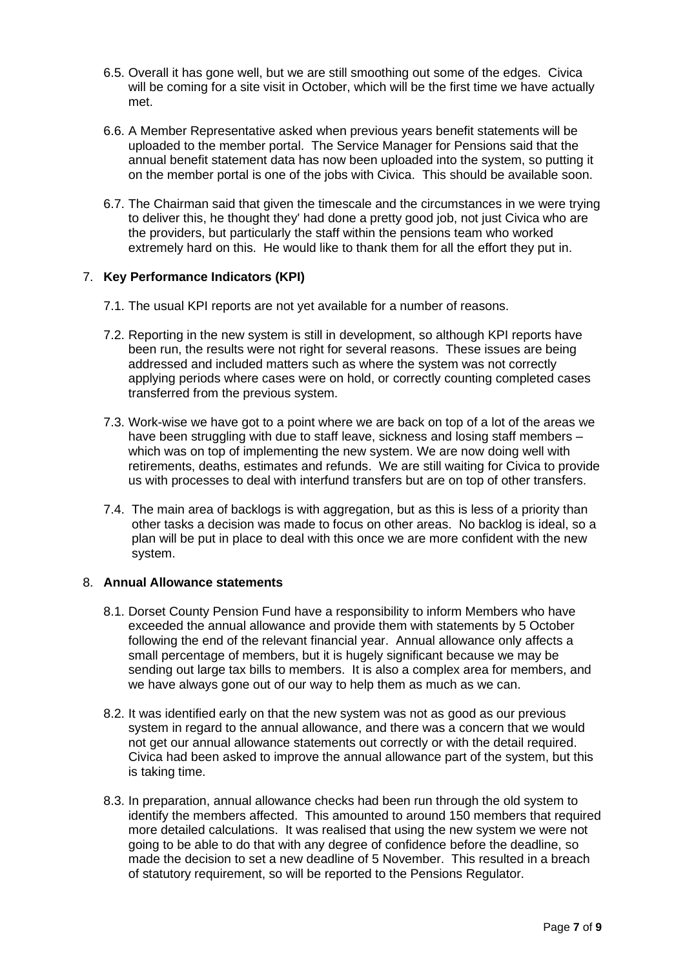- 6.5. Overall it has gone well, but we are still smoothing out some of the edges. Civica will be coming for a site visit in October, which will be the first time we have actually met.
- 6.6. A Member Representative asked when previous years benefit statements will be uploaded to the member portal. The Service Manager for Pensions said that the annual benefit statement data has now been uploaded into the system, so putting it on the member portal is one of the jobs with Civica. This should be available soon.
- 6.7. The Chairman said that given the timescale and the circumstances in we were trying to deliver this, he thought they' had done a pretty good job, not just Civica who are the providers, but particularly the staff within the pensions team who worked extremely hard on this. He would like to thank them for all the effort they put in.

# 7. **Key Performance Indicators (KPI)**

- 7.1. The usual KPI reports are not yet available for a number of reasons.
- 7.2. Reporting in the new system is still in development, so although KPI reports have been run, the results were not right for several reasons. These issues are being addressed and included matters such as where the system was not correctly applying periods where cases were on hold, or correctly counting completed cases transferred from the previous system.
- 7.3. Work-wise we have got to a point where we are back on top of a lot of the areas we have been struggling with due to staff leave, sickness and losing staff members – which was on top of implementing the new system. We are now doing well with retirements, deaths, estimates and refunds. We are still waiting for Civica to provide us with processes to deal with interfund transfers but are on top of other transfers.
- 7.4. The main area of backlogs is with aggregation, but as this is less of a priority than other tasks a decision was made to focus on other areas. No backlog is ideal, so a plan will be put in place to deal with this once we are more confident with the new system.

#### 8. **Annual Allowance statements**

- 8.1. Dorset County Pension Fund have a responsibility to inform Members who have exceeded the annual allowance and provide them with statements by 5 October following the end of the relevant financial year. Annual allowance only affects a small percentage of members, but it is hugely significant because we may be sending out large tax bills to members. It is also a complex area for members, and we have always gone out of our way to help them as much as we can.
- 8.2. It was identified early on that the new system was not as good as our previous system in regard to the annual allowance, and there was a concern that we would not get our annual allowance statements out correctly or with the detail required. Civica had been asked to improve the annual allowance part of the system, but this is taking time.
- 8.3. In preparation, annual allowance checks had been run through the old system to identify the members affected. This amounted to around 150 members that required more detailed calculations. It was realised that using the new system we were not going to be able to do that with any degree of confidence before the deadline, so made the decision to set a new deadline of 5 November. This resulted in a breach of statutory requirement, so will be reported to the Pensions Regulator.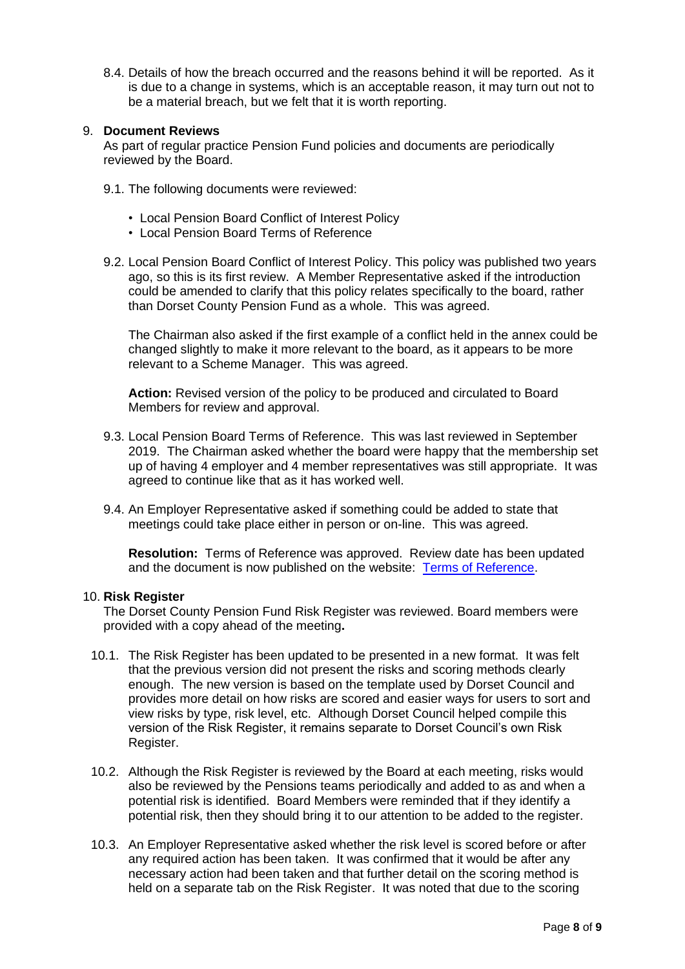8.4. Details of how the breach occurred and the reasons behind it will be reported. As it is due to a change in systems, which is an acceptable reason, it may turn out not to be a material breach, but we felt that it is worth reporting.

## 9. **Document Reviews**

As part of regular practice Pension Fund policies and documents are periodically reviewed by the Board.

- 9.1. The following documents were reviewed:
	- Local Pension Board Conflict of Interest Policy
	- Local Pension Board Terms of Reference
- 9.2. Local Pension Board Conflict of Interest Policy. This policy was published two years ago, so this is its first review. A Member Representative asked if the introduction could be amended to clarify that this policy relates specifically to the board, rather than Dorset County Pension Fund as a whole. This was agreed.

The Chairman also asked if the first example of a conflict held in the annex could be changed slightly to make it more relevant to the board, as it appears to be more relevant to a Scheme Manager. This was agreed.

**Action:** Revised version of the policy to be produced and circulated to Board Members for review and approval.

- 9.3. Local Pension Board Terms of Reference. This was last reviewed in September 2019. The Chairman asked whether the board were happy that the membership set up of having 4 employer and 4 member representatives was still appropriate. It was agreed to continue like that as it has worked well.
- 9.4. An Employer Representative asked if something could be added to state that meetings could take place either in person or on-line. This was agreed.

**Resolution:** Terms of Reference was approved. Review date has been updated and the document is now published on the website: [Terms of Reference.](https://www.dorsetpensionfund.org/media/33knmudj/dorset-county-pension-fund-local-pension-board-terms-of-reference-october-2021.pdf)

#### 10. **Risk Register**

The Dorset County Pension Fund Risk Register was reviewed. Board members were provided with a copy ahead of the meeting**.**

- 10.1. The Risk Register has been updated to be presented in a new format. It was felt that the previous version did not present the risks and scoring methods clearly enough. The new version is based on the template used by Dorset Council and provides more detail on how risks are scored and easier ways for users to sort and view risks by type, risk level, etc. Although Dorset Council helped compile this version of the Risk Register, it remains separate to Dorset Council's own Risk Register.
- 10.2. Although the Risk Register is reviewed by the Board at each meeting, risks would also be reviewed by the Pensions teams periodically and added to as and when a potential risk is identified. Board Members were reminded that if they identify a potential risk, then they should bring it to our attention to be added to the register.
- 10.3. An Employer Representative asked whether the risk level is scored before or after any required action has been taken. It was confirmed that it would be after any necessary action had been taken and that further detail on the scoring method is held on a separate tab on the Risk Register. It was noted that due to the scoring